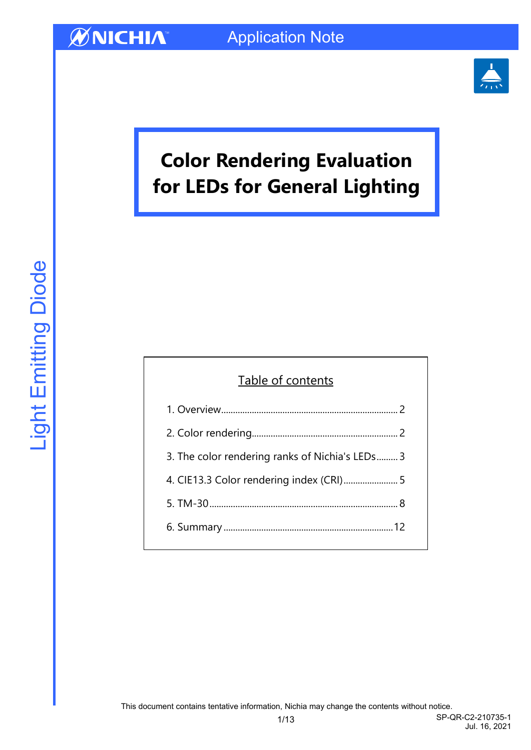

# **Color Rendering Evaluation for LEDs for General Lighting**

### Table of contents

| 3. The color rendering ranks of Nichia's LEDs 3 |
|-------------------------------------------------|
| 4. CIE13.3 Color rendering index (CRI) 5        |
|                                                 |
|                                                 |
|                                                 |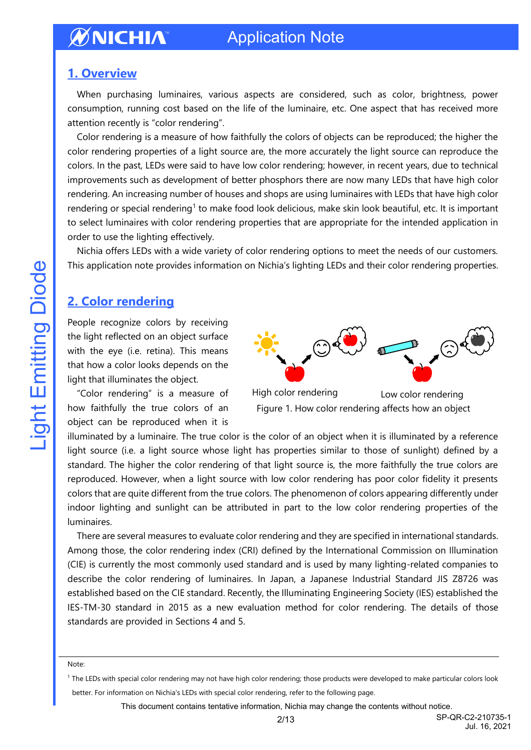## Application Note

#### <span id="page-1-0"></span>**1. Overview**

When purchasing luminaires, various aspects are considered, such as color, brightness, power consumption, running cost based on the life of the luminaire, etc. One aspect that has received more attention recently is "color rendering".

Color rendering is a measure of how faithfully the colors of objects can be reproduced; the higher the color rendering properties of a light source are, the more accurately the light source can reproduce the colors. In the past, LEDs were said to have low color rendering; however, in recent years, due to technical improvements such as development of better phosphors there are now many LEDs that have high color rendering. An increasing number of houses and shops are using luminaires with LEDs that have high color rendering or special rendering<sup>1</sup> to make food look delicious, make skin look beautiful, etc. It is important to select luminaires with color rendering properties that are appropriate for the intended application in order to use the lighting effectively.

Nichia offers LEDs with a wide variety of color rendering options to meet the needs of our customers. This application note provides information on Nichia's lighting LEDs and their color rendering properties.

### <span id="page-1-1"></span>**2. Color rendering**

People recognize colors by receiving the light reflected on an object surface with the eye (i.e. retina). This means that how a color looks depends on the light that illuminates the object.

"Color rendering" is a measure of how faithfully the true colors of an object can be reproduced when it is



High color rendering Low color rendering Figure 1. How color rendering affects how an object

illuminated by a luminaire. The true color is the color of an object when it is illuminated by a reference light source (i.e. a light source whose light has properties similar to those of sunlight) defined by a standard. The higher the color rendering of that light source is, the more faithfully the true colors are reproduced. However, when a light source with low color rendering has poor color fidelity it presents colors that are quite different from the true colors. The phenomenon of colors appearing differently under indoor lighting and sunlight can be attributed in part to the low color rendering properties of the luminaires.

There are several measures to evaluate color rendering and they are specified in international standards. Among those, the color rendering index (CRI) defined by the International Commission on Illumination (CIE) is currently the most commonly used standard and is used by many lighting-related companies to describe the color rendering of luminaires. In Japan, a Japanese Industrial Standard JIS Z8726 was established based on the CIE standard. Recently, the Illuminating Engineering Society (IES) established the IES-TM-30 standard in 2015 as a new evaluation method for color rendering. The details of those standards are provided in Sections 4 and 5.

Note:

<sup>1</sup> The LEDs with special color rendering may not have high color rendering; those products were developed to make particular colors look better. For information on Nichia's LEDs with special color rendering, refer to the following page.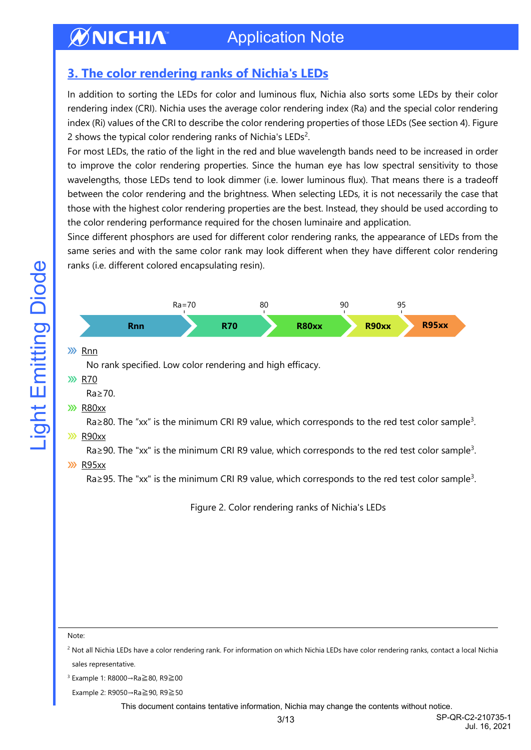## Application Note

## <span id="page-2-0"></span>**3. The color rendering ranks of Nichia's LEDs**

In addition to sorting the LEDs for color and luminous flux, Nichia also sorts some LEDs by their color rendering index (CRI). Nichia uses the average color rendering index (Ra) and the special color rendering index (Ri) values of the CRI to describe the color rendering properties of those LEDs (See section 4). Figure 2 shows the typical color rendering ranks of Nichia's LEDs<sup>2</sup>.

For most LEDs, the ratio of the light in the red and blue wavelength bands need to be increased in order to improve the color rendering properties. Since the human eye has low spectral sensitivity to those wavelengths, those LEDs tend to look dimmer (i.e. lower luminous flux). That means there is a tradeoff between the color rendering and the brightness. When selecting LEDs, it is not necessarily the case that those with the highest color rendering properties are the best. Instead, they should be used according to the color rendering performance required for the chosen luminaire and application.

Since different phosphors are used for different color rendering ranks, the appearance of LEDs from the same series and with the same color rank may look different when they have different color rendering ranks (i.e. different colored encapsulating resin).



#### **XX** R95xx

Ra≥95. The "xx" is the minimum CRI R9 value, which corresponds to the red test color sample<sup>3</sup>.

Figure 2. Color rendering ranks of Nichia's LEDs

Note:

<sup>2</sup> Not all Nichia LEDs have a color rendering rank. For information on which Nichia LEDs have color rendering ranks, contact a local Nichia sales representative.

<sup>3</sup> Example 1: R8000→Ra≧80, R9≧00

Example 2: R9050→Ra≧90, R9≧50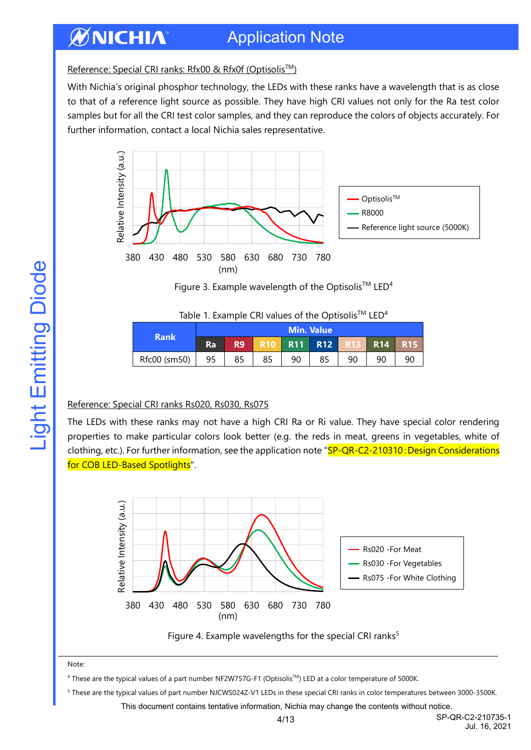## Application Note

Reference: Special CRI ranks: Rfx00 & Rfx0f (Optisolis™)

With Nichia's original phosphor technology, the LEDs with these ranks have a wavelength that is as close to that of a reference light source as possible. They have high CRI values not only for the Ra test color samples but for all the CRI test color samples, and they can reproduce the colors of objects accurately. For further information, contact a local Nichia sales representative.



Figure 3. Example wavelength of the Optisolis<sup>TM</sup> LED<sup>4</sup>

| Table 1. Example CRI values of the Optisolis™ LED <sup>4</sup> |
|----------------------------------------------------------------|
|----------------------------------------------------------------|

|              |    | <b>Min. Value</b> |    |            |            |    |            |      |  |
|--------------|----|-------------------|----|------------|------------|----|------------|------|--|
| <b>Rank</b>  | Ra | R9                |    | <b>R11</b> | <b>R12</b> |    | <b>R14</b> | R 15 |  |
| Rfc00 (sm50) | 95 | 85                | 85 | 90         | 85         | 90 | 90         | 90   |  |

#### Reference: Special CRI ranks Rs020, Rs030, Rs075

The LEDs with these ranks may not have a high CRI Ra or Ri value. They have special color rendering properties to make particular colors look better (e.g. the reds in meat, greens in vegetables, white of clothing, etc.). For further information, see the application note "SP-QR-C2-210310: Design Considerations for COB LED-Based Spotlights".





Note:

<sup>4</sup> These are the typical values of a part number NF2W757G-F1 (OptisolisTM) LED at a color temperature of 5000K.

<sup>5</sup> These are the typical values of part number NJCWS024Z-V1 LEDs in these special CRI ranks in color temperatures between 3000-3500K.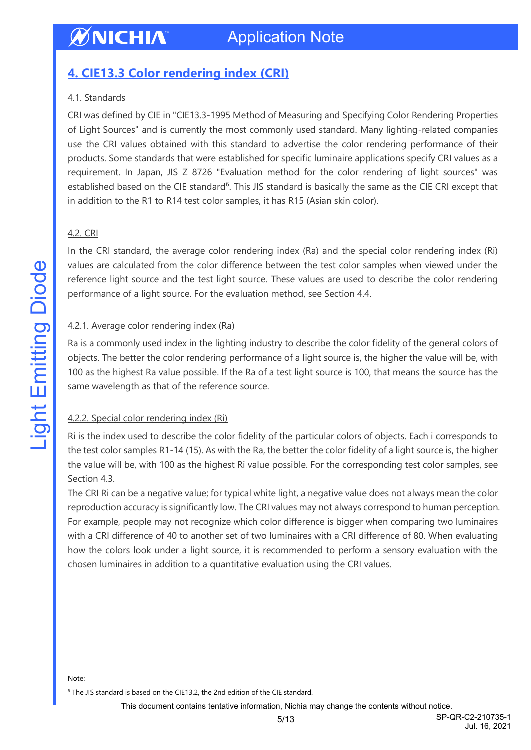## <span id="page-4-0"></span>**4. CIE13.3 Color rendering index (CRI)**

#### 4.1. Standards

CRI was defined by CIE in "CIE13.3-1995 Method of Measuring and Specifying Color Rendering Properties of Light Sources" and is currently the most commonly used standard. Many lighting-related companies use the CRI values obtained with this standard to advertise the color rendering performance of their products. Some standards that were established for specific luminaire applications specify CRI values as a requirement. In Japan, JIS Z 8726 "Evaluation method for the color rendering of light sources" was established based on the CIE standard<sup>6</sup>. This JIS standard is basically the same as the CIE CRI except that in addition to the R1 to R14 test color samples, it has R15 (Asian skin color).

#### 4.2. CRI

In the CRI standard, the average color rendering index (Ra) and the special color rendering index (Ri) values are calculated from the color difference between the test color samples when viewed under the reference light source and the test light source. These values are used to describe the color rendering performance of a light source. For the evaluation method, see Section 4.4.

#### 4.2.1. Average color rendering index (Ra)

Ra is a commonly used index in the lighting industry to describe the color fidelity of the general colors of objects. The better the color rendering performance of a light source is, the higher the value will be, with 100 as the highest Ra value possible. If the Ra of a test light source is 100, that means the source has the same wavelength as that of the reference source.

#### 4.2.2. Special color rendering index (Ri)

Ri is the index used to describe the color fidelity of the particular colors of objects. Each i corresponds to the test color samples R1-14 (15). As with the Ra, the better the color fidelity of a light source is, the higher the value will be, with 100 as the highest Ri value possible. For the corresponding test color samples, see Section 4.3.

The CRI Ri can be a negative value; for typical white light, a negative value does not always mean the color reproduction accuracy is significantly low. The CRI values may not always correspond to human perception. For example, people may not recognize which color difference is bigger when comparing two luminaires with a CRI difference of 40 to another set of two luminaires with a CRI difference of 80. When evaluating how the colors look under a light source, it is recommended to perform a sensory evaluation with the chosen luminaires in addition to a quantitative evaluation using the CRI values.

Note:

<sup>&</sup>lt;sup>6</sup> The JIS standard is based on the CIE13.2, the 2nd edition of the CIE standard.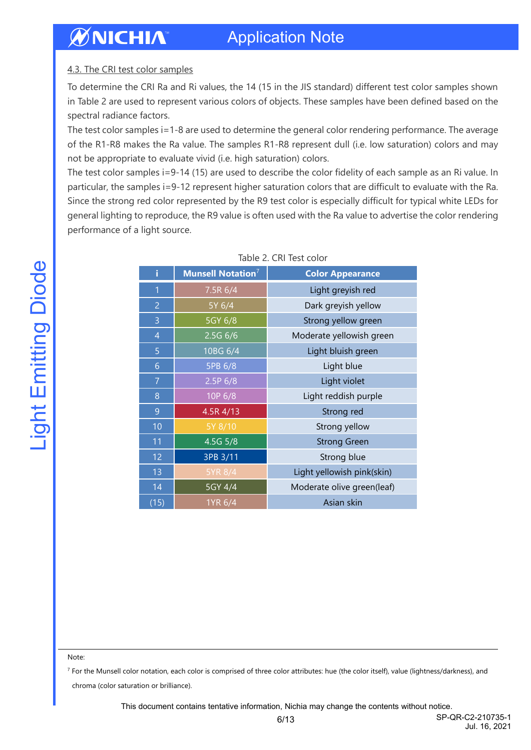#### 4.3. The CRI test color samples

To determine the CRI Ra and Ri values, the 14 (15 in the JIS standard) different test color samples shown in Table 2 are used to represent various colors of objects. These samples have been defined based on the spectral radiance factors.

The test color samples i=1-8 are used to determine the general color rendering performance. The average of the R1-R8 makes the Ra value. The samples R1-R8 represent dull (i.e. low saturation) colors and may not be appropriate to evaluate vivid (i.e. high saturation) colors.

The test color samples i=9-14 (15) are used to describe the color fidelity of each sample as an Ri value. In particular, the samples i=9-12 represent higher saturation colors that are difficult to evaluate with the Ra. Since the strong red color represented by the R9 test color is especially difficult for typical white LEDs for general lighting to reproduce, the R9 value is often used with the Ra value to advertise the color rendering performance of a light source.

| i              | <b>Munsell Notation</b> 7 | <b>Color Appearance</b>    |
|----------------|---------------------------|----------------------------|
| $\overline{1}$ | 7.5R 6/4                  | Light greyish red          |
| $\overline{2}$ | 5Y 6/4                    | Dark greyish yellow        |
| 3              | 5GY 6/8                   | Strong yellow green        |
| $\overline{4}$ | $2.5G$ 6/6                | Moderate yellowish green   |
| 5              | 10BG 6/4                  | Light bluish green         |
| 6              | 5PB 6/8                   | Light blue                 |
| $\overline{7}$ | 2.5P 6/8                  | Light violet               |
| 8              | 10P 6/8                   | Light reddish purple       |
| 9              | 4.5R 4/13                 | Strong red                 |
| 10             | 5Y 8/10                   | Strong yellow              |
| 11             | 4.5G 5/8                  | <b>Strong Green</b>        |
| 12             | 3PB 3/11                  | Strong blue                |
| 13             | 5YR 8/4                   | Light yellowish pink(skin) |
| 14             | 5GY 4/4                   | Moderate olive green(leaf) |
| (15)           | 1YR 6/4                   | Asian skin                 |

Note:

<sup>7</sup> For the Munsell color notation, each color is comprised of three color attributes: hue (the color itself), value (lightness/darkness), and chroma (color saturation or brilliance).

This document contains tentative information, Nichia may change the contents without notice.

**Light Emitting Diode**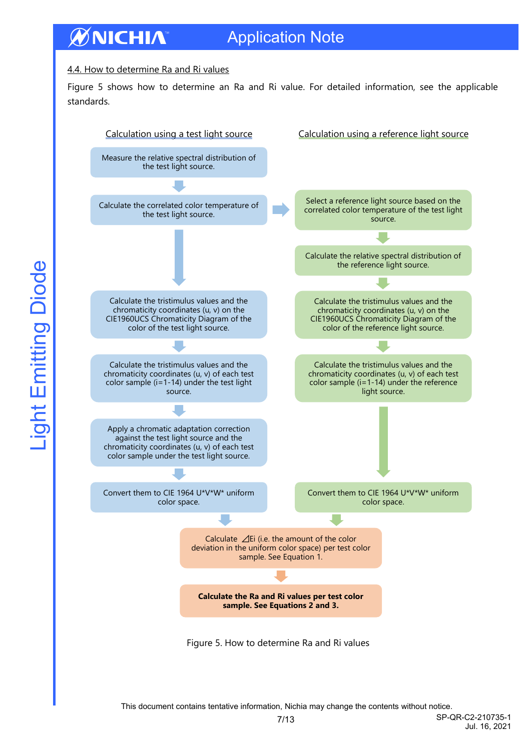## Application Note

#### 4.4. How to determine Ra and Ri values

Figure 5 shows how to determine an Ra and Ri value. For detailed information, see the applicable standards.

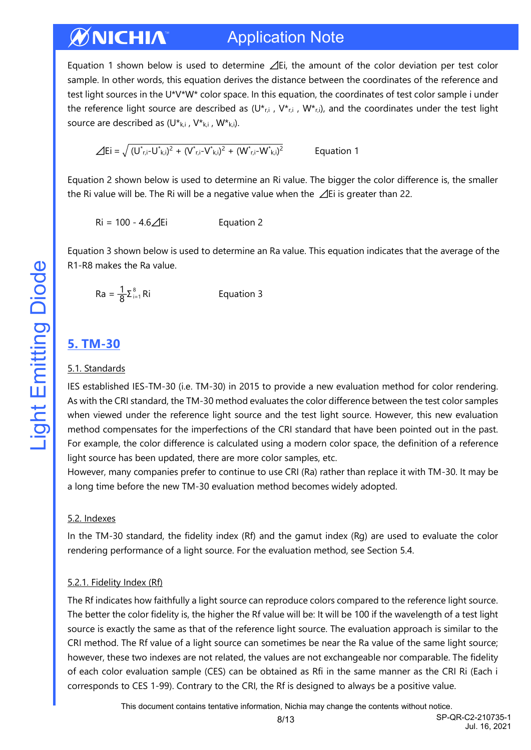#### ØNICHIA Application Note

Equation 1 shown below is used to determine ⊿Ei, the amount of the color deviation per test color sample. In other words, this equation derives the distance between the coordinates of the reference and test light sources in the U\*V\*W\* color space. In this equation, the coordinates of test color sample i under the reference light source are described as  $(U^*_{r,i}$ ,  $V^*_{r,i}$ ,  $W^*_{r,i}$ , and the coordinates under the test light source are described as  $(U^*_{k,i}, V^*_{k,i}, W^*_{k,i}).$ 

$$
\angle Ei = \sqrt{(U^*_{r,i} - U^*_{k,i})^2 + (V^*_{r,i} - V^*_{k,i})^2 + (W^*_{r,i} - W^*_{k,i})^2}
$$
 Equation 1

Equation 2 shown below is used to determine an Ri value. The bigger the color difference is, the smaller the Ri value will be. The Ri will be a negative value when the ⊿Ei is greater than 22.

 $Ri = 100 - 4.6 \angle\sqrt{E}i$  Equation 2

Equation 3 shown below is used to determine an Ra value. This equation indicates that the average of the R1-R8 makes the Ra value.

$$
Ra = \frac{1}{8} \Sigma_{i=1}^{8} Ri
$$
 Equation 3

#### <span id="page-7-0"></span>**5. TM-30**

#### 5.1. Standards

IES established IES-TM-30 (i.e. TM-30) in 2015 to provide a new evaluation method for color rendering. As with the CRI standard, the TM-30 method evaluates the color difference between the test color samples when viewed under the reference light source and the test light source. However, this new evaluation method compensates for the imperfections of the CRI standard that have been pointed out in the past. For example, the color difference is calculated using a modern color space, the definition of a reference light source has been updated, there are more color samples, etc.

However, many companies prefer to continue to use CRI (Ra) rather than replace it with TM-30. It may be a long time before the new TM-30 evaluation method becomes widely adopted.

#### 5.2. Indexes

In the TM-30 standard, the fidelity index (Rf) and the gamut index (Rg) are used to evaluate the color rendering performance of a light source. For the evaluation method, see Section 5.4.

#### 5.2.1. Fidelity Index (Rf)

The Rf indicates how faithfully a light source can reproduce colors compared to the reference light source. The better the color fidelity is, the higher the Rf value will be: It will be 100 if the wavelength of a test light source is exactly the same as that of the reference light source. The evaluation approach is similar to the CRI method. The Rf value of a light source can sometimes be near the Ra value of the same light source; however, these two indexes are not related, the values are not exchangeable nor comparable. The fidelity of each color evaluation sample (CES) can be obtained as Rfi in the same manner as the CRI Ri (Each i corresponds to CES 1-99). Contrary to the CRI, the Rf is designed to always be a positive value.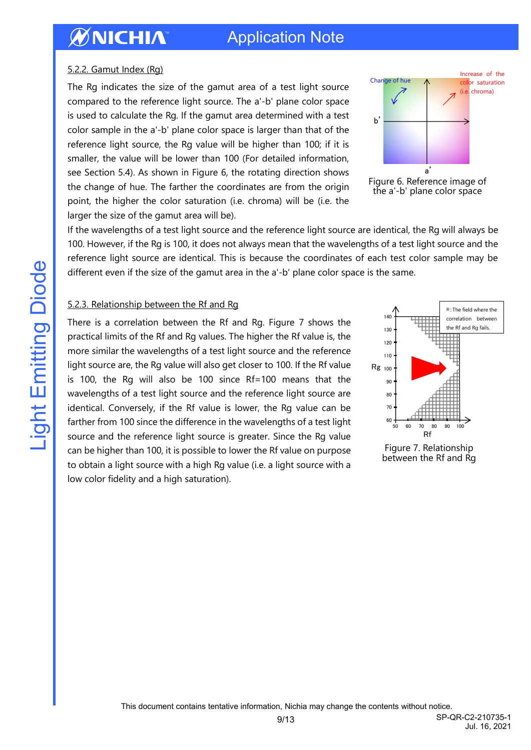## Application Note

#### 5.2.2. Gamut Index (Rg)

The Rg indicates the size of the gamut area of a test light source compared to the reference light source. The a'-b' plane color space is used to calculate the Rg. If the gamut area determined with a test color sample in the a'-b' plane color space is larger than that of the reference light source, the Rg value will be higher than 100; if it is smaller, the value will be lower than 100 (For detailed information, see Section 5.4). As shown in Figure 6, the rotating direction shows the change of hue. The farther the coordinates are from the origin point, the higher the color saturation (i.e. chroma) will be (i.e. the larger the size of the gamut area will be).





If the wavelengths of a test light source and the reference light source are identical, the Rg will always be 100. However, if the Rg is 100, it does not always mean that the wavelengths of a test light source and the reference light source are identical. This is because the coordinates of each test color sample may be different even if the size of the gamut area in the a'-b' plane color space is the same.

#### 5.2.3. Relationship between the Rf and Rg

There is a correlation between the Rf and Rg. Figure 7 shows the practical limits of the Rf and Rg values. The higher the Rf value is, the more similar the wavelengths of a test light source and the reference light source are, the Rg value will also get closer to 100. If the Rf value is 100, the Rg will also be 100 since Rf=100 means that the wavelengths of a test light source and the reference light source are identical. Conversely, if the Rf value is lower, the Rg value can be farther from 100 since the difference in the wavelengths of a test light source and the reference light source is greater. Since the Rg value can be higher than 100, it is possible to lower the Rf value on purpose to obtain a light source with a high Rg value (i.e. a light source with a low color fidelity and a high saturation).



Figure 7. Relationship between the Rf and Rg

9/13 SP-QR-C2-210735-1 Jul. 16, 2021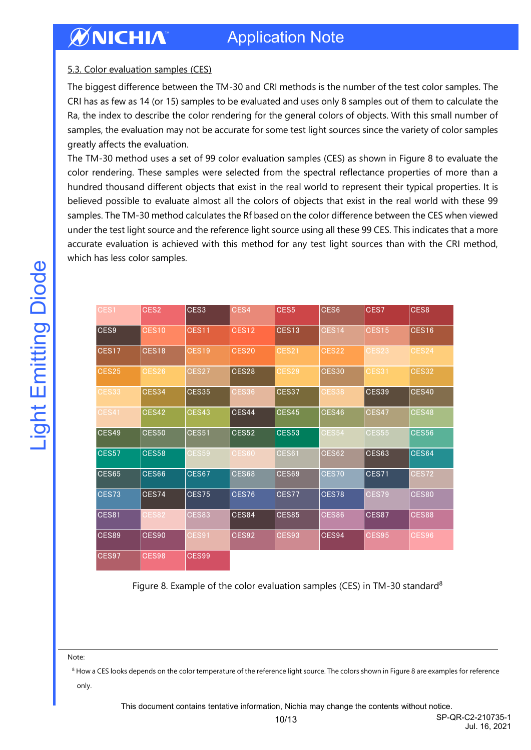#### 5.3. Color evaluation samples (CES)

The biggest difference between the TM-30 and CRI methods is the number of the test color samples. The CRI has as few as 14 (or 15) samples to be evaluated and uses only 8 samples out of them to calculate the Ra, the index to describe the color rendering for the general colors of objects. With this small number of samples, the evaluation may not be accurate for some test light sources since the variety of color samples greatly affects the evaluation.

The TM-30 method uses a set of 99 color evaluation samples (CES) as shown in Figure 8 to evaluate the color rendering. These samples were selected from the spectral reflectance properties of more than a hundred thousand different objects that exist in the real world to represent their typical properties. It is believed possible to evaluate almost all the colors of objects that exist in the real world with these 99 samples. The TM-30 method calculates the Rf based on the color difference between the CES when viewed under the test light source and the reference light source using all these 99 CES. This indicates that a more accurate evaluation is achieved with this method for any test light sources than with the CRI method, which has less color samples.

|              | CES <sub>2</sub> | CES <sub>3</sub> | CES4         | CES5              | CES6         | CES7         | CES8         |
|--------------|------------------|------------------|--------------|-------------------|--------------|--------------|--------------|
| CES9         | <b>CES10</b>     | CES11            | <b>CES12</b> | CES <sub>13</sub> | CES14        | <b>CES15</b> | CES16        |
| CES17        | CES18            | <b>CES19</b>     | <b>CES20</b> | <b>CES21</b>      | CES22        | CES23        | CES24        |
| <b>CES25</b> | CES26            | CES27            | CES28        | CES29             | <b>CES30</b> | CES31        | <b>CES32</b> |
| <b>CES33</b> | CES34            | <b>CES35</b>     | <b>CES36</b> | CES37             | <b>CES38</b> | CES39        | CES40        |
| <b>CES41</b> | CES42            | CES43            | CES44        | CES45             | CES46        | CES47        | CES48        |
| CES49        | <b>CES50</b>     | <b>CES51</b>     | <b>CES52</b> | <b>CES53</b>      | <b>CES54</b> | <b>CES55</b> | <b>CES56</b> |
| <b>CES57</b> | <b>CES58</b>     | <b>CES59</b>     | <b>CES60</b> | CES61             | CES62        | CES63        | CES64        |
| CES65        | CES66            | <b>CES67</b>     | CES68        | CES69             | <b>CES70</b> | CES71        | CES72        |
| CES73        | CES74            | CES75            | CES76        | CES77             | CES78        | CES79        | <b>CES80</b> |
| <b>CES81</b> | CES82            | <b>CES83</b>     | CES84        | CES85             | <b>CES86</b> | CES87        | <b>CES88</b> |
| <b>CES89</b> | <b>CES90</b>     | CES91            | CES92        | <b>CES93</b>      | CES94        | <b>CES95</b> | <b>CES96</b> |
| CES97        | <b>CES98</b>     | CES99            |              |                   |              |              |              |

Note:

<sup>8</sup> How a CES looks depends on the color temperature of the reference light source. The colors shown in Figure 8 are examples for reference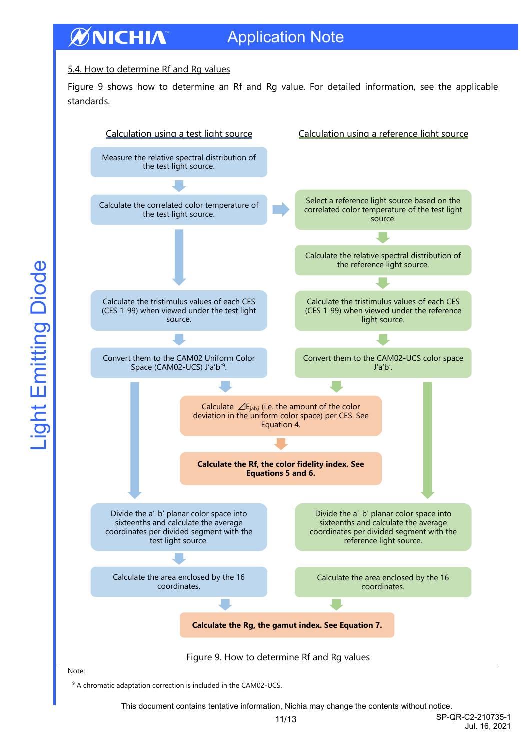#### ØNICHIA Application Note

#### 5.4. How to determine Rf and Rg values

Figure 9 shows how to determine an Rf and Rg value. For detailed information, see the applicable standards.

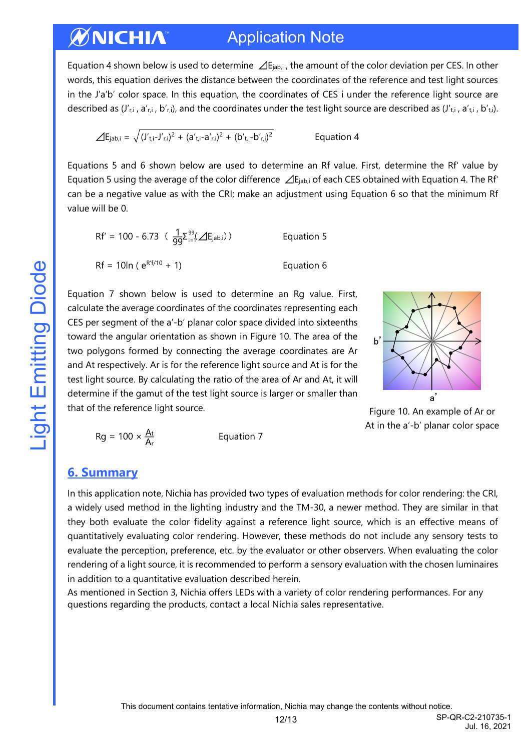#### ØNICHIA Application Note

Equation 4 shown below is used to determine  $\Delta E_{\text{lab,i}}$ , the amount of the color deviation per CES. In other words, this equation derives the distance between the coordinates of the reference and test light sources in the J'a'b' color space. In this equation, the coordinates of CES i under the reference light source are described as  $(J'_{r,i}, a'_{r,i}, b'_{r,i})$ , and the coordinates under the test light source are described as  $(J'_{r,i}, a'_{r,i}, b'_{r,i})$ .

$$
\angle E_{jab,i} = \sqrt{(J'_{t,i} - J'_{r,i})^2 + (a'_{t,i} - a'_{r,i})^2 + (b'_{t,i} - b'_{r,i})^2}
$$
 Equation 4

Equations 5 and 6 shown below are used to determine an Rf value. First, determine the Rf' value by Equation 5 using the average of the color difference ⊿Ejab,i of each CES obtained with Equation 4. The Rf' can be a negative value as with the CRI; make an adjustment using Equation 6 so that the minimum Rf value will be 0.

$$
Rf' = 100 - 6.73 \left( \frac{1}{99} \sum_{i=1}^{99} (\Delta E_{jab,i}) \right)
$$
 Equation 5  
 
$$
Rf = 10 \ln (e^{R^2f/10} + 1)
$$
 Equation 6

Equation 7 shown below is used to determine an Rg value. First, calculate the average coordinates of the coordinates representing each CES per segment of the a'-b' planar color space divided into sixteenths toward the angular orientation as shown in Figure 10. The area of the two polygons formed by connecting the average coordinates are Ar and At respectively. Ar is for the reference light source and At is for the test light source. By calculating the ratio of the area of Ar and At, it will determine if the gamut of the test light source is larger or smaller than that of the reference light source.





$$
Rg = 100 \times \frac{A_t}{A_r}
$$
 Equation 7

#### <span id="page-11-0"></span>**6. Summary**

In this application note, Nichia has provided two types of evaluation methods for color rendering: the CRI, a widely used method in the lighting industry and the TM-30, a newer method. They are similar in that they both evaluate the color fidelity against a reference light source, which is an effective means of quantitatively evaluating color rendering. However, these methods do not include any sensory tests to evaluate the perception, preference, etc. by the evaluator or other observers. When evaluating the color rendering of a light source, it is recommended to perform a sensory evaluation with the chosen luminaires in addition to a quantitative evaluation described herein.

As mentioned in Section 3, Nichia offers LEDs with a variety of color rendering performances. For any questions regarding the products, contact a local Nichia sales representative.